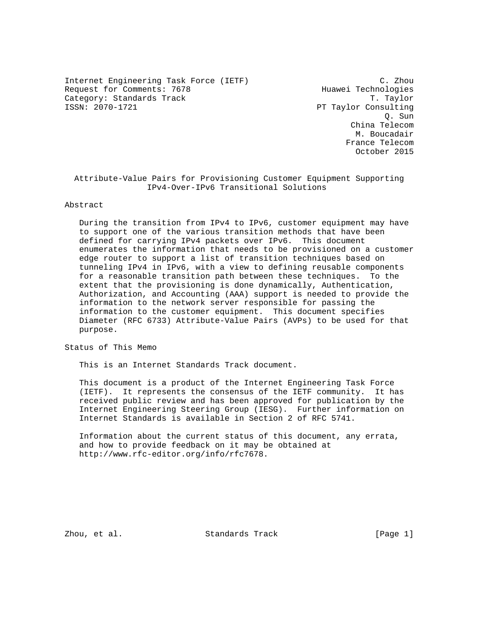Internet Engineering Task Force (IETF) C. Zhou Request for Comments: 7678 Huawei Technologies Category: Standards Track T. Taylor<br>ISSN: 2070-1721 T. Taylor<br>PT Taylor Consulting

PT Taylor Consulting Q. Sun China Telecom M. Boucadair France Telecom October 2015

 Attribute-Value Pairs for Provisioning Customer Equipment Supporting IPv4-Over-IPv6 Transitional Solutions

### Abstract

 During the transition from IPv4 to IPv6, customer equipment may have to support one of the various transition methods that have been defined for carrying IPv4 packets over IPv6. This document enumerates the information that needs to be provisioned on a customer edge router to support a list of transition techniques based on tunneling IPv4 in IPv6, with a view to defining reusable components for a reasonable transition path between these techniques. To the extent that the provisioning is done dynamically, Authentication, Authorization, and Accounting (AAA) support is needed to provide the information to the network server responsible for passing the information to the customer equipment. This document specifies Diameter (RFC 6733) Attribute-Value Pairs (AVPs) to be used for that purpose.

Status of This Memo

This is an Internet Standards Track document.

 This document is a product of the Internet Engineering Task Force (IETF). It represents the consensus of the IETF community. It has received public review and has been approved for publication by the Internet Engineering Steering Group (IESG). Further information on Internet Standards is available in Section 2 of RFC 5741.

 Information about the current status of this document, any errata, and how to provide feedback on it may be obtained at http://www.rfc-editor.org/info/rfc7678.

Zhou, et al. Standards Track [Page 1]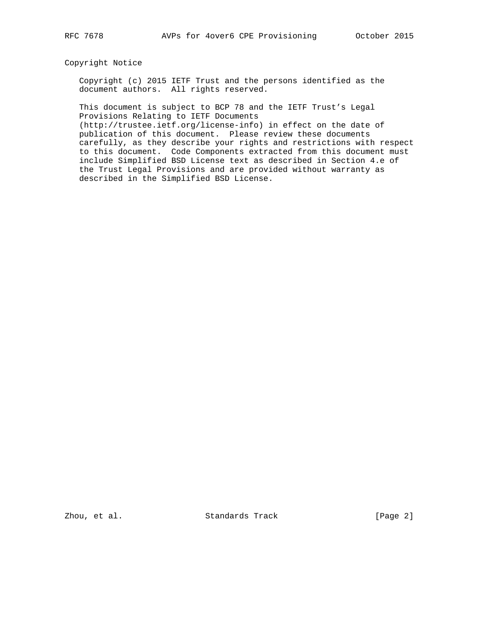## Copyright Notice

 Copyright (c) 2015 IETF Trust and the persons identified as the document authors. All rights reserved.

 This document is subject to BCP 78 and the IETF Trust's Legal Provisions Relating to IETF Documents

 (http://trustee.ietf.org/license-info) in effect on the date of publication of this document. Please review these documents carefully, as they describe your rights and restrictions with respect to this document. Code Components extracted from this document must include Simplified BSD License text as described in Section 4.e of the Trust Legal Provisions and are provided without warranty as described in the Simplified BSD License.

Zhou, et al. Standards Track [Page 2]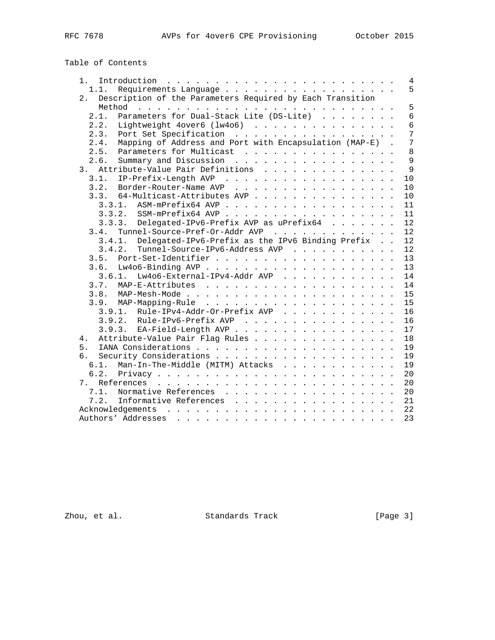# Table of Contents

| Introduction $\ldots \ldots \ldots \ldots \ldots \ldots \ldots \ldots$<br>$1 \cdot$                                                                                                                                                                 | 4              |
|-----------------------------------------------------------------------------------------------------------------------------------------------------------------------------------------------------------------------------------------------------|----------------|
| 1.1.                                                                                                                                                                                                                                                | 5              |
| Description of the Parameters Required by Each Transition<br>2.                                                                                                                                                                                     |                |
|                                                                                                                                                                                                                                                     | 5              |
| Parameters for Dual-Stack Lite (DS-Lite)<br>2.1.                                                                                                                                                                                                    | 6              |
| 2.2.<br>Lightweight 4over6 (1w4o6)                                                                                                                                                                                                                  | 6              |
| 2.3.<br>Port Set Specification                                                                                                                                                                                                                      | 7              |
| Mapping of Address and Port with Encapsulation (MAP-E).<br>2.4.                                                                                                                                                                                     | $\overline{7}$ |
| Parameters for Multicast<br>2.5.                                                                                                                                                                                                                    | 8              |
| 2.6.<br>Summary and Discussion                                                                                                                                                                                                                      | $\overline{9}$ |
| Attribute-Value Pair Definitions<br>3.                                                                                                                                                                                                              | 9              |
| 3.1.<br>IP-Prefix-Length AVP                                                                                                                                                                                                                        | 10             |
| Border-Router-Name AVP<br>3.2.                                                                                                                                                                                                                      | 10             |
| 64-Multicast-Attributes AVP<br>3.3.                                                                                                                                                                                                                 | 10             |
| 3.3.1. ASM-mPrefix64 AVP                                                                                                                                                                                                                            | 11             |
|                                                                                                                                                                                                                                                     | 11             |
| Delegated-IPv6-Prefix AVP as uPrefix64<br>3.3.3.                                                                                                                                                                                                    | 12             |
| Tunnel-Source-Pref-Or-Addr AVP<br>3.4.                                                                                                                                                                                                              | 12             |
| Delegated-IPv6-Prefix as the IPv6 Binding Prefix<br>3.4.1.                                                                                                                                                                                          | 12             |
| Tunnel-Source-IPv6-Address AVP<br>3.4.2.                                                                                                                                                                                                            | 12             |
| 3.5.                                                                                                                                                                                                                                                | 13             |
| 3.6.                                                                                                                                                                                                                                                | 13             |
| Lw4o6-External-IPv4-Addr AVP<br>3.6.1.                                                                                                                                                                                                              | 14             |
|                                                                                                                                                                                                                                                     | 14             |
|                                                                                                                                                                                                                                                     | 15             |
|                                                                                                                                                                                                                                                     | 15             |
| 3.9.1. Rule-IPv4-Addr-Or-Prefix AVP                                                                                                                                                                                                                 | 16             |
| 3.9.2. Rule-IPv6-Prefix AVP                                                                                                                                                                                                                         | 16             |
| 3.9.3. EA-Field-Length AVP                                                                                                                                                                                                                          | 17             |
| Attribute-Value Pair Flag Rules<br>4.                                                                                                                                                                                                               | 18             |
| 5.                                                                                                                                                                                                                                                  | 19             |
| б.                                                                                                                                                                                                                                                  | 19             |
| Man-In-The-Middle (MITM) Attacks<br>6.1.                                                                                                                                                                                                            | 19             |
| 6.2.                                                                                                                                                                                                                                                | 20             |
| 7.                                                                                                                                                                                                                                                  | 20             |
| 7.1.<br>Normative References                                                                                                                                                                                                                        | 20             |
| Informative References<br>7.2.                                                                                                                                                                                                                      | 21             |
|                                                                                                                                                                                                                                                     | 22             |
| Authors' Addresses<br>a constitution of the constitution of the constitution of the constitution of the constitution of the constitution of the constitution of the constitution of the constitution of the constitution of the constitution of the | 23             |

zhou, et al. Standards Track [Page 3]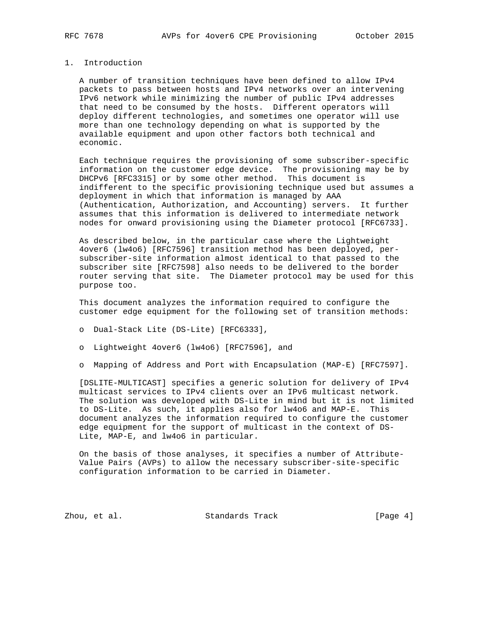## 1. Introduction

 A number of transition techniques have been defined to allow IPv4 packets to pass between hosts and IPv4 networks over an intervening IPv6 network while minimizing the number of public IPv4 addresses that need to be consumed by the hosts. Different operators will deploy different technologies, and sometimes one operator will use more than one technology depending on what is supported by the available equipment and upon other factors both technical and economic.

 Each technique requires the provisioning of some subscriber-specific information on the customer edge device. The provisioning may be by DHCPv6 [RFC3315] or by some other method. This document is indifferent to the specific provisioning technique used but assumes a deployment in which that information is managed by AAA (Authentication, Authorization, and Accounting) servers. It further assumes that this information is delivered to intermediate network nodes for onward provisioning using the Diameter protocol [RFC6733].

 As described below, in the particular case where the Lightweight 4over6 (lw4o6) [RFC7596] transition method has been deployed, per subscriber-site information almost identical to that passed to the subscriber site [RFC7598] also needs to be delivered to the border router serving that site. The Diameter protocol may be used for this purpose too.

 This document analyzes the information required to configure the customer edge equipment for the following set of transition methods:

o Dual-Stack Lite (DS-Lite) [RFC6333],

o Lightweight 4over6 (lw4o6) [RFC7596], and

o Mapping of Address and Port with Encapsulation (MAP-E) [RFC7597].

 [DSLITE-MULTICAST] specifies a generic solution for delivery of IPv4 multicast services to IPv4 clients over an IPv6 multicast network. The solution was developed with DS-Lite in mind but it is not limited to DS-Lite. As such, it applies also for lw4o6 and MAP-E. This document analyzes the information required to configure the customer edge equipment for the support of multicast in the context of DS- Lite, MAP-E, and lw4o6 in particular.

 On the basis of those analyses, it specifies a number of Attribute- Value Pairs (AVPs) to allow the necessary subscriber-site-specific configuration information to be carried in Diameter.

Zhou, et al. Standards Track [Page 4]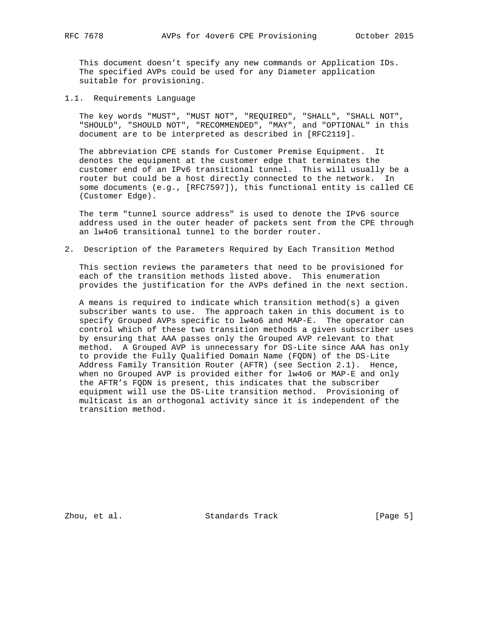This document doesn't specify any new commands or Application IDs. The specified AVPs could be used for any Diameter application suitable for provisioning.

1.1. Requirements Language

 The key words "MUST", "MUST NOT", "REQUIRED", "SHALL", "SHALL NOT", "SHOULD", "SHOULD NOT", "RECOMMENDED", "MAY", and "OPTIONAL" in this document are to be interpreted as described in [RFC2119].

 The abbreviation CPE stands for Customer Premise Equipment. It denotes the equipment at the customer edge that terminates the customer end of an IPv6 transitional tunnel. This will usually be a router but could be a host directly connected to the network. In some documents (e.g., [RFC7597]), this functional entity is called CE (Customer Edge).

 The term "tunnel source address" is used to denote the IPv6 source address used in the outer header of packets sent from the CPE through an lw4o6 transitional tunnel to the border router.

2. Description of the Parameters Required by Each Transition Method

 This section reviews the parameters that need to be provisioned for each of the transition methods listed above. This enumeration provides the justification for the AVPs defined in the next section.

 A means is required to indicate which transition method(s) a given subscriber wants to use. The approach taken in this document is to specify Grouped AVPs specific to lw4o6 and MAP-E. The operator can control which of these two transition methods a given subscriber uses by ensuring that AAA passes only the Grouped AVP relevant to that method. A Grouped AVP is unnecessary for DS-Lite since AAA has only to provide the Fully Qualified Domain Name (FQDN) of the DS-Lite Address Family Transition Router (AFTR) (see Section 2.1). Hence, when no Grouped AVP is provided either for lw4o6 or MAP-E and only the AFTR's FQDN is present, this indicates that the subscriber equipment will use the DS-Lite transition method. Provisioning of multicast is an orthogonal activity since it is independent of the transition method.

Zhou, et al. Standards Track [Page 5]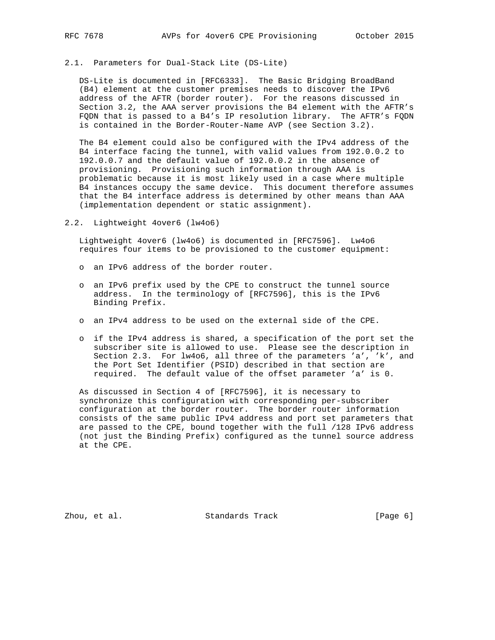## 2.1. Parameters for Dual-Stack Lite (DS-Lite)

 DS-Lite is documented in [RFC6333]. The Basic Bridging BroadBand (B4) element at the customer premises needs to discover the IPv6 address of the AFTR (border router). For the reasons discussed in Section 3.2, the AAA server provisions the B4 element with the AFTR's FQDN that is passed to a B4's IP resolution library. The AFTR's FQDN is contained in the Border-Router-Name AVP (see Section 3.2).

 The B4 element could also be configured with the IPv4 address of the B4 interface facing the tunnel, with valid values from 192.0.0.2 to 192.0.0.7 and the default value of 192.0.0.2 in the absence of provisioning. Provisioning such information through AAA is problematic because it is most likely used in a case where multiple B4 instances occupy the same device. This document therefore assumes that the B4 interface address is determined by other means than AAA (implementation dependent or static assignment).

2.2. Lightweight 4over6 (lw4o6)

 Lightweight 4over6 (lw4o6) is documented in [RFC7596]. Lw4o6 requires four items to be provisioned to the customer equipment:

- o an IPv6 address of the border router.
- o an IPv6 prefix used by the CPE to construct the tunnel source address. In the terminology of [RFC7596], this is the IPv6 Binding Prefix.
- o an IPv4 address to be used on the external side of the CPE.
- o if the IPv4 address is shared, a specification of the port set the subscriber site is allowed to use. Please see the description in Section 2.3. For lw4o6, all three of the parameters 'a', 'k', and the Port Set Identifier (PSID) described in that section are required. The default value of the offset parameter 'a' is 0.

 As discussed in Section 4 of [RFC7596], it is necessary to synchronize this configuration with corresponding per-subscriber configuration at the border router. The border router information consists of the same public IPv4 address and port set parameters that are passed to the CPE, bound together with the full /128 IPv6 address (not just the Binding Prefix) configured as the tunnel source address at the CPE.

Zhou, et al. Standards Track [Page 6]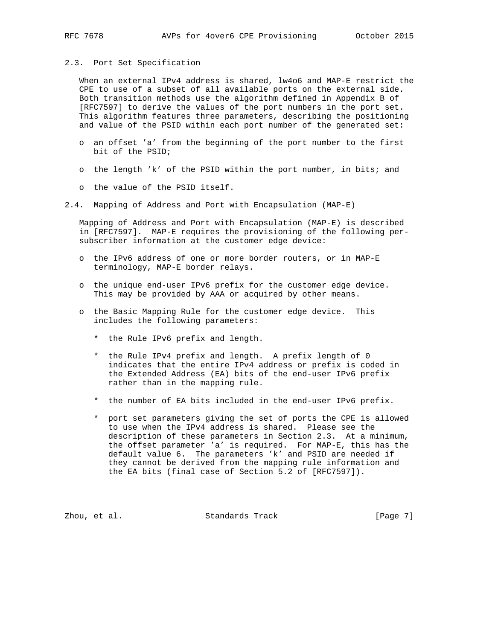#### 2.3. Port Set Specification

 When an external IPv4 address is shared, lw4o6 and MAP-E restrict the CPE to use of a subset of all available ports on the external side. Both transition methods use the algorithm defined in Appendix B of [RFC7597] to derive the values of the port numbers in the port set. This algorithm features three parameters, describing the positioning and value of the PSID within each port number of the generated set:

- o an offset 'a' from the beginning of the port number to the first bit of the PSID;
- o the length 'k' of the PSID within the port number, in bits; and
- o the value of the PSID itself.
- 2.4. Mapping of Address and Port with Encapsulation (MAP-E)

 Mapping of Address and Port with Encapsulation (MAP-E) is described in [RFC7597]. MAP-E requires the provisioning of the following per subscriber information at the customer edge device:

- o the IPv6 address of one or more border routers, or in MAP-E terminology, MAP-E border relays.
- o the unique end-user IPv6 prefix for the customer edge device. This may be provided by AAA or acquired by other means.
- o the Basic Mapping Rule for the customer edge device. This includes the following parameters:
	- \* the Rule IPv6 prefix and length.
	- \* the Rule IPv4 prefix and length. A prefix length of 0 indicates that the entire IPv4 address or prefix is coded in the Extended Address (EA) bits of the end-user IPv6 prefix rather than in the mapping rule.
	- \* the number of EA bits included in the end-user IPv6 prefix.
	- \* port set parameters giving the set of ports the CPE is allowed to use when the IPv4 address is shared. Please see the description of these parameters in Section 2.3. At a minimum, the offset parameter 'a' is required. For MAP-E, this has the default value 6. The parameters 'k' and PSID are needed if they cannot be derived from the mapping rule information and the EA bits (final case of Section 5.2 of [RFC7597]).

Zhou, et al. Standards Track [Page 7]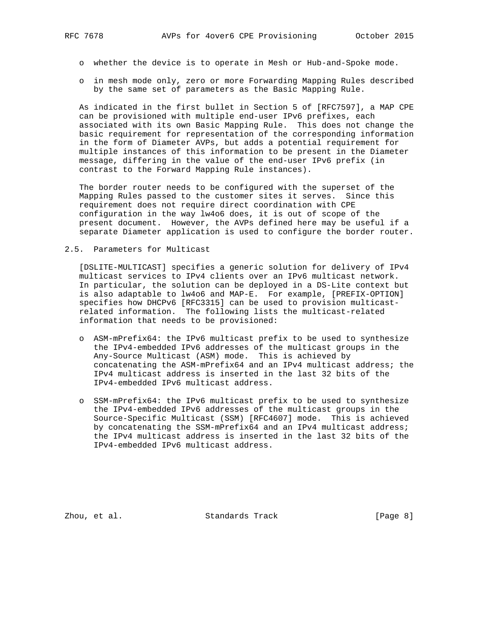- o whether the device is to operate in Mesh or Hub-and-Spoke mode.
- o in mesh mode only, zero or more Forwarding Mapping Rules described by the same set of parameters as the Basic Mapping Rule.

 As indicated in the first bullet in Section 5 of [RFC7597], a MAP CPE can be provisioned with multiple end-user IPv6 prefixes, each associated with its own Basic Mapping Rule. This does not change the basic requirement for representation of the corresponding information in the form of Diameter AVPs, but adds a potential requirement for multiple instances of this information to be present in the Diameter message, differing in the value of the end-user IPv6 prefix (in contrast to the Forward Mapping Rule instances).

 The border router needs to be configured with the superset of the Mapping Rules passed to the customer sites it serves. Since this requirement does not require direct coordination with CPE configuration in the way lw4o6 does, it is out of scope of the present document. However, the AVPs defined here may be useful if a separate Diameter application is used to configure the border router.

#### 2.5. Parameters for Multicast

 [DSLITE-MULTICAST] specifies a generic solution for delivery of IPv4 multicast services to IPv4 clients over an IPv6 multicast network. In particular, the solution can be deployed in a DS-Lite context but is also adaptable to lw4o6 and MAP-E. For example, [PREFIX-OPTION] specifies how DHCPv6 [RFC3315] can be used to provision multicast related information. The following lists the multicast-related information that needs to be provisioned:

- o ASM-mPrefix64: the IPv6 multicast prefix to be used to synthesize the IPv4-embedded IPv6 addresses of the multicast groups in the Any-Source Multicast (ASM) mode. This is achieved by concatenating the ASM-mPrefix64 and an IPv4 multicast address; the IPv4 multicast address is inserted in the last 32 bits of the IPv4-embedded IPv6 multicast address.
- o SSM-mPrefix64: the IPv6 multicast prefix to be used to synthesize the IPv4-embedded IPv6 addresses of the multicast groups in the Source-Specific Multicast (SSM) [RFC4607] mode. This is achieved by concatenating the SSM-mPrefix64 and an IPv4 multicast address; the IPv4 multicast address is inserted in the last 32 bits of the IPv4-embedded IPv6 multicast address.

Zhou, et al. Standards Track [Page 8]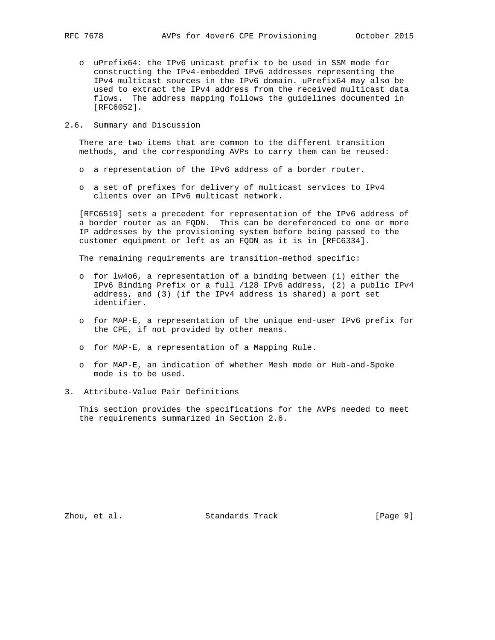- o uPrefix64: the IPv6 unicast prefix to be used in SSM mode for constructing the IPv4-embedded IPv6 addresses representing the IPv4 multicast sources in the IPv6 domain. uPrefix64 may also be used to extract the IPv4 address from the received multicast data flows. The address mapping follows the guidelines documented in [RFC6052].
- 2.6. Summary and Discussion

 There are two items that are common to the different transition methods, and the corresponding AVPs to carry them can be reused:

- o a representation of the IPv6 address of a border router.
- o a set of prefixes for delivery of multicast services to IPv4 clients over an IPv6 multicast network.

 [RFC6519] sets a precedent for representation of the IPv6 address of a border router as an FQDN. This can be dereferenced to one or more IP addresses by the provisioning system before being passed to the customer equipment or left as an FQDN as it is in [RFC6334].

The remaining requirements are transition-method specific:

- o for lw4o6, a representation of a binding between (1) either the IPv6 Binding Prefix or a full /128 IPv6 address, (2) a public IPv4 address, and (3) (if the IPv4 address is shared) a port set identifier.
- o for MAP-E, a representation of the unique end-user IPv6 prefix for the CPE, if not provided by other means.
- o for MAP-E, a representation of a Mapping Rule.
- o for MAP-E, an indication of whether Mesh mode or Hub-and-Spoke mode is to be used.
- 3. Attribute-Value Pair Definitions

 This section provides the specifications for the AVPs needed to meet the requirements summarized in Section 2.6.

Zhou, et al. Standards Track [Page 9]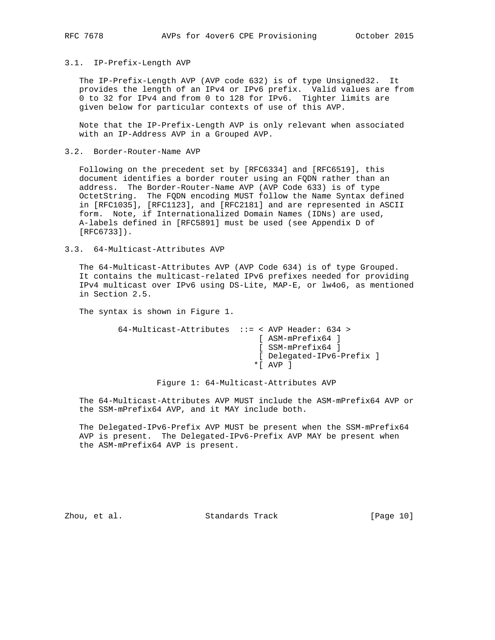#### 3.1. IP-Prefix-Length AVP

 The IP-Prefix-Length AVP (AVP code 632) is of type Unsigned32. It provides the length of an IPv4 or IPv6 prefix. Valid values are from 0 to 32 for IPv4 and from 0 to 128 for IPv6. Tighter limits are given below for particular contexts of use of this AVP.

 Note that the IP-Prefix-Length AVP is only relevant when associated with an IP-Address AVP in a Grouped AVP.

#### 3.2. Border-Router-Name AVP

 Following on the precedent set by [RFC6334] and [RFC6519], this document identifies a border router using an FQDN rather than an address. The Border-Router-Name AVP (AVP Code 633) is of type OctetString. The FQDN encoding MUST follow the Name Syntax defined in [RFC1035], [RFC1123], and [RFC2181] and are represented in ASCII form. Note, if Internationalized Domain Names (IDNs) are used, A-labels defined in [RFC5891] must be used (see Appendix D of [RFC6733]).

#### 3.3. 64-Multicast-Attributes AVP

 The 64-Multicast-Attributes AVP (AVP Code 634) is of type Grouped. It contains the multicast-related IPv6 prefixes needed for providing IPv4 multicast over IPv6 using DS-Lite, MAP-E, or lw4o6, as mentioned in Section 2.5.

The syntax is shown in Figure 1.

```
 64-Multicast-Attributes ::= < AVP Header: 634 >
                   [ ASM-mPrefix64 ]
                   [ SSM-mPrefix64 ]
                   [ Delegated-IPv6-Prefix ]
                  *[ AVP ]
```
Figure 1: 64-Multicast-Attributes AVP

 The 64-Multicast-Attributes AVP MUST include the ASM-mPrefix64 AVP or the SSM-mPrefix64 AVP, and it MAY include both.

 The Delegated-IPv6-Prefix AVP MUST be present when the SSM-mPrefix64 AVP is present. The Delegated-IPv6-Prefix AVP MAY be present when the ASM-mPrefix64 AVP is present.

Zhou, et al. Standards Track [Page 10]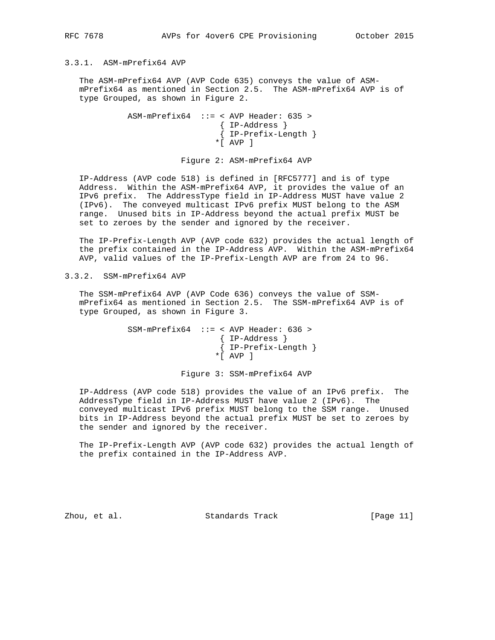## 3.3.1. ASM-mPrefix64 AVP

 The ASM-mPrefix64 AVP (AVP Code 635) conveys the value of ASM mPrefix64 as mentioned in Section 2.5. The ASM-mPrefix64 AVP is of type Grouped, as shown in Figure 2.

```
 ASM-mPrefix64 ::= < AVP Header: 635 >
         { IP-Address }
         { IP-Prefix-Length }
        *[ AVP ]
```
Figure 2: ASM-mPrefix64 AVP

 IP-Address (AVP code 518) is defined in [RFC5777] and is of type Address. Within the ASM-mPrefix64 AVP, it provides the value of an IPv6 prefix. The AddressType field in IP-Address MUST have value 2 (IPv6). The conveyed multicast IPv6 prefix MUST belong to the ASM range. Unused bits in IP-Address beyond the actual prefix MUST be set to zeroes by the sender and ignored by the receiver.

 The IP-Prefix-Length AVP (AVP code 632) provides the actual length of the prefix contained in the IP-Address AVP. Within the ASM-mPrefix64 AVP, valid values of the IP-Prefix-Length AVP are from 24 to 96.

3.3.2. SSM-mPrefix64 AVP

 The SSM-mPrefix64 AVP (AVP Code 636) conveys the value of SSM mPrefix64 as mentioned in Section 2.5. The SSM-mPrefix64 AVP is of type Grouped, as shown in Figure 3.

```
 SSM-mPrefix64 ::= < AVP Header: 636 >
         { IP-Address }
         { IP-Prefix-Length }
       *[ AVP ]
```
Figure 3: SSM-mPrefix64 AVP

 IP-Address (AVP code 518) provides the value of an IPv6 prefix. The AddressType field in IP-Address MUST have value 2 (IPv6). The conveyed multicast IPv6 prefix MUST belong to the SSM range. Unused bits in IP-Address beyond the actual prefix MUST be set to zeroes by the sender and ignored by the receiver.

 The IP-Prefix-Length AVP (AVP code 632) provides the actual length of the prefix contained in the IP-Address AVP.

Zhou, et al. Standards Track [Page 11]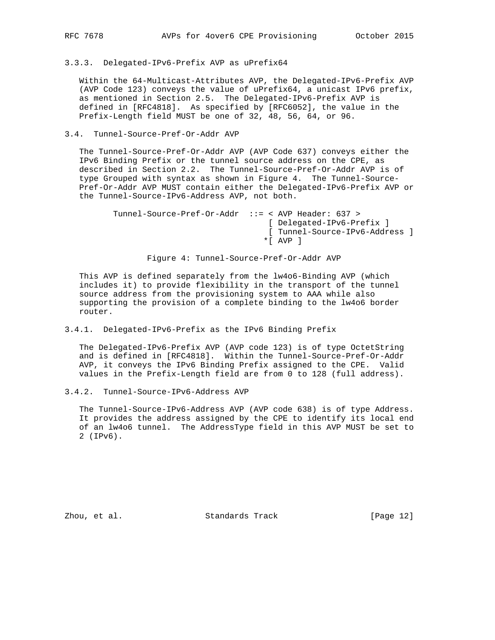3.3.3. Delegated-IPv6-Prefix AVP as uPrefix64

 Within the 64-Multicast-Attributes AVP, the Delegated-IPv6-Prefix AVP (AVP Code 123) conveys the value of uPrefix64, a unicast IPv6 prefix, as mentioned in Section 2.5. The Delegated-IPv6-Prefix AVP is defined in [RFC4818]. As specified by [RFC6052], the value in the Prefix-Length field MUST be one of 32, 48, 56, 64, or 96.

3.4. Tunnel-Source-Pref-Or-Addr AVP

 The Tunnel-Source-Pref-Or-Addr AVP (AVP Code 637) conveys either the IPv6 Binding Prefix or the tunnel source address on the CPE, as described in Section 2.2. The Tunnel-Source-Pref-Or-Addr AVP is of type Grouped with syntax as shown in Figure 4. The Tunnel-Source- Pref-Or-Addr AVP MUST contain either the Delegated-IPv6-Prefix AVP or the Tunnel-Source-IPv6-Address AVP, not both.

| Tunnel-Source-Pref-Or-Addr ::= < AVP Header: 637 > |
|----------------------------------------------------|
| [ Delegated-IPv6-Prefix ]                          |
| [ Tunnel-Source-IPv6-Address ]                     |
| $\star$ [ AVP ]                                    |
|                                                    |

Figure 4: Tunnel-Source-Pref-Or-Addr AVP

 This AVP is defined separately from the lw4o6-Binding AVP (which includes it) to provide flexibility in the transport of the tunnel source address from the provisioning system to AAA while also supporting the provision of a complete binding to the lw4o6 border router.

3.4.1. Delegated-IPv6-Prefix as the IPv6 Binding Prefix

 The Delegated-IPv6-Prefix AVP (AVP code 123) is of type OctetString and is defined in [RFC4818]. Within the Tunnel-Source-Pref-Or-Addr AVP, it conveys the IPv6 Binding Prefix assigned to the CPE. Valid values in the Prefix-Length field are from 0 to 128 (full address).

3.4.2. Tunnel-Source-IPv6-Address AVP

 The Tunnel-Source-IPv6-Address AVP (AVP code 638) is of type Address. It provides the address assigned by the CPE to identify its local end of an lw4o6 tunnel. The AddressType field in this AVP MUST be set to 2 (IPv6).

Zhou, et al. Standards Track [Page 12]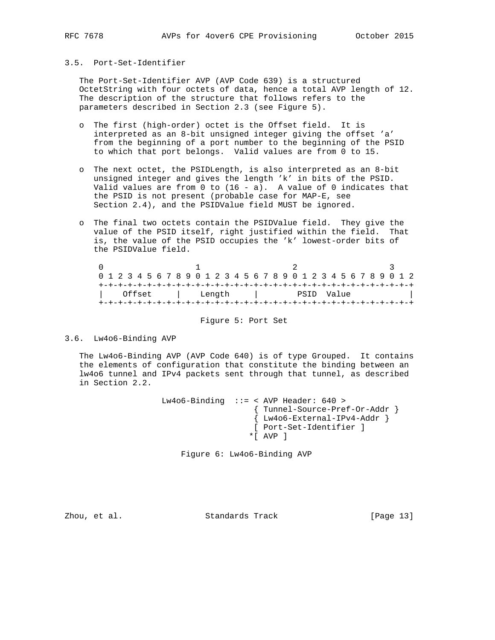### 3.5. Port-Set-Identifier

 The Port-Set-Identifier AVP (AVP Code 639) is a structured OctetString with four octets of data, hence a total AVP length of 12. The description of the structure that follows refers to the parameters described in Section 2.3 (see Figure 5).

- o The first (high-order) octet is the Offset field. It is interpreted as an 8-bit unsigned integer giving the offset 'a' from the beginning of a port number to the beginning of the PSID to which that port belongs. Valid values are from 0 to 15.
- o The next octet, the PSIDLength, is also interpreted as an 8-bit unsigned integer and gives the length 'k' in bits of the PSID. Valid values are from  $0$  to  $(16 - a)$ . A value of  $0$  indicates that the PSID is not present (probable case for MAP-E, see Section 2.4), and the PSIDValue field MUST be ignored.
- o The final two octets contain the PSIDValue field. They give the value of the PSID itself, right justified within the field. That is, the value of the PSID occupies the 'k' lowest-order bits of the PSIDValue field.

| 0 1 2 3 4 5 6 7 8 9 0 1 2 3 4 5 6 7 8 9 0 1 2 3 4 5 6 7 8 9 0 1 2 |  |  |        |  |  |  |  |  |        |  |  |  |  |  |  |  |            |  |  |  |  |  |  |  |  |  |
|-------------------------------------------------------------------|--|--|--------|--|--|--|--|--|--------|--|--|--|--|--|--|--|------------|--|--|--|--|--|--|--|--|--|
|                                                                   |  |  |        |  |  |  |  |  |        |  |  |  |  |  |  |  |            |  |  |  |  |  |  |  |  |  |
|                                                                   |  |  | Offset |  |  |  |  |  | Length |  |  |  |  |  |  |  | PSID Value |  |  |  |  |  |  |  |  |  |
|                                                                   |  |  |        |  |  |  |  |  |        |  |  |  |  |  |  |  |            |  |  |  |  |  |  |  |  |  |

Figure 5: Port Set

3.6. Lw4o6-Binding AVP

 The Lw4o6-Binding AVP (AVP Code 640) is of type Grouped. It contains the elements of configuration that constitute the binding between an lw4o6 tunnel and IPv4 packets sent through that tunnel, as described in Section 2.2.

> Lw4o6-Binding ::= < AVP Header: 640 > { Tunnel-Source-Pref-Or-Addr } { Lw4o6-External-IPv4-Addr } [ Port-Set-Identifier ] \*[ AVP ]

Figure 6: Lw4o6-Binding AVP

Zhou, et al. Standards Track [Page 13]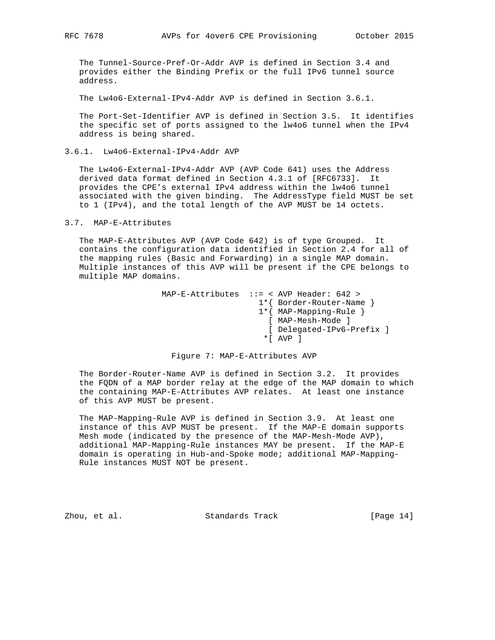The Tunnel-Source-Pref-Or-Addr AVP is defined in Section 3.4 and provides either the Binding Prefix or the full IPv6 tunnel source address.

The Lw4o6-External-IPv4-Addr AVP is defined in Section 3.6.1.

 The Port-Set-Identifier AVP is defined in Section 3.5. It identifies the specific set of ports assigned to the lw4o6 tunnel when the IPv4 address is being shared.

3.6.1. Lw4o6-External-IPv4-Addr AVP

 The Lw4o6-External-IPv4-Addr AVP (AVP Code 641) uses the Address derived data format defined in Section 4.3.1 of [RFC6733]. It provides the CPE's external IPv4 address within the lw4o6 tunnel associated with the given binding. The AddressType field MUST be set to 1 (IPv4), and the total length of the AVP MUST be 14 octets.

#### 3.7. MAP-E-Attributes

 The MAP-E-Attributes AVP (AVP Code 642) is of type Grouped. It contains the configuration data identified in Section 2.4 for all of the mapping rules (Basic and Forwarding) in a single MAP domain. Multiple instances of this AVP will be present if the CPE belongs to multiple MAP domains.

| $\star$ [ |                                                                                                                                                                    |
|-----------|--------------------------------------------------------------------------------------------------------------------------------------------------------------------|
|           | MAP-E-Attributes $::=$ < AVP Header: 642 ><br>$1*\{$ Border-Router-Name $\}$<br>$1*\{$ MAP-Mapping-Rule }<br>[ MAP-Mesh-Mode ]<br>[ Delegated-IPv6-Prefix ]<br>AVP |

#### Figure 7: MAP-E-Attributes AVP

 The Border-Router-Name AVP is defined in Section 3.2. It provides the FQDN of a MAP border relay at the edge of the MAP domain to which the containing MAP-E-Attributes AVP relates. At least one instance of this AVP MUST be present.

 The MAP-Mapping-Rule AVP is defined in Section 3.9. At least one instance of this AVP MUST be present. If the MAP-E domain supports Mesh mode (indicated by the presence of the MAP-Mesh-Mode AVP), additional MAP-Mapping-Rule instances MAY be present. If the MAP-E domain is operating in Hub-and-Spoke mode; additional MAP-Mapping- Rule instances MUST NOT be present.

Zhou, et al. Standards Track [Page 14]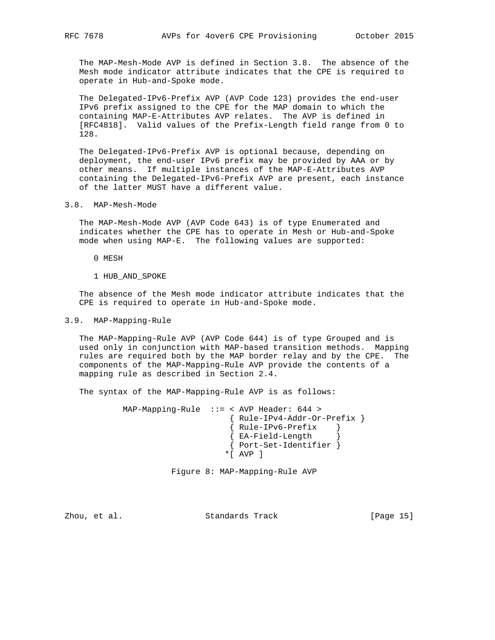The MAP-Mesh-Mode AVP is defined in Section 3.8. The absence of the Mesh mode indicator attribute indicates that the CPE is required to operate in Hub-and-Spoke mode.

 The Delegated-IPv6-Prefix AVP (AVP Code 123) provides the end-user IPv6 prefix assigned to the CPE for the MAP domain to which the containing MAP-E-Attributes AVP relates. The AVP is defined in [RFC4818]. Valid values of the Prefix-Length field range from 0 to 128.

 The Delegated-IPv6-Prefix AVP is optional because, depending on deployment, the end-user IPv6 prefix may be provided by AAA or by other means. If multiple instances of the MAP-E-Attributes AVP containing the Delegated-IPv6-Prefix AVP are present, each instance of the latter MUST have a different value.

3.8. MAP-Mesh-Mode

 The MAP-Mesh-Mode AVP (AVP Code 643) is of type Enumerated and indicates whether the CPE has to operate in Mesh or Hub-and-Spoke mode when using MAP-E. The following values are supported:

- 0 MESH
- 1 HUB\_AND\_SPOKE

 The absence of the Mesh mode indicator attribute indicates that the CPE is required to operate in Hub-and-Spoke mode.

#### 3.9. MAP-Mapping-Rule

 The MAP-Mapping-Rule AVP (AVP Code 644) is of type Grouped and is used only in conjunction with MAP-based transition methods. Mapping rules are required both by the MAP border relay and by the CPE. The components of the MAP-Mapping-Rule AVP provide the contents of a mapping rule as described in Section 2.4.

The syntax of the MAP-Mapping-Rule AVP is as follows:

 MAP-Mapping-Rule ::= < AVP Header: 644 > { Rule-IPv4-Addr-Or-Prefix } { Rule-IPv6-Prefix } { EA-Field-Length } { Port-Set-Identifier } \*[ AVP ]

Figure 8: MAP-Mapping-Rule AVP

Zhou, et al. Standards Track [Page 15]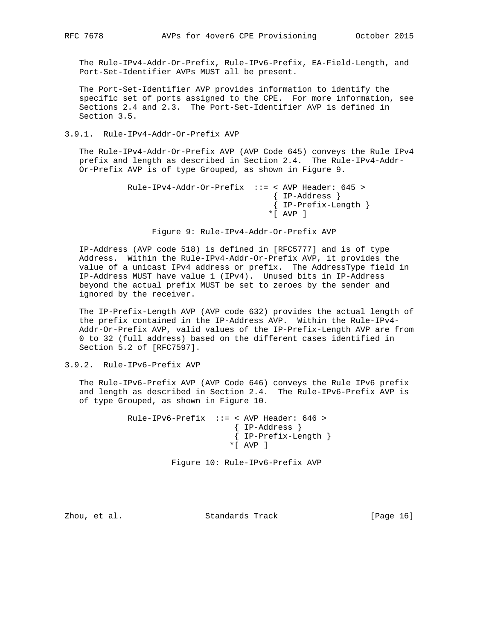The Rule-IPv4-Addr-Or-Prefix, Rule-IPv6-Prefix, EA-Field-Length, and Port-Set-Identifier AVPs MUST all be present.

 The Port-Set-Identifier AVP provides information to identify the specific set of ports assigned to the CPE. For more information, see Sections 2.4 and 2.3. The Port-Set-Identifier AVP is defined in Section 3.5.

#### 3.9.1. Rule-IPv4-Addr-Or-Prefix AVP

 The Rule-IPv4-Addr-Or-Prefix AVP (AVP Code 645) conveys the Rule IPv4 prefix and length as described in Section 2.4. The Rule-IPv4-Addr- Or-Prefix AVP is of type Grouped, as shown in Figure 9.

```
 Rule-IPv4-Addr-Or-Prefix ::= < AVP Header: 645 >
                    { IP-Address }
                    { IP-Prefix-Length }
                   *[ AVP ]
```
Figure 9: Rule-IPv4-Addr-Or-Prefix AVP

 IP-Address (AVP code 518) is defined in [RFC5777] and is of type Address. Within the Rule-IPv4-Addr-Or-Prefix AVP, it provides the value of a unicast IPv4 address or prefix. The AddressType field in IP-Address MUST have value 1 (IPv4). Unused bits in IP-Address beyond the actual prefix MUST be set to zeroes by the sender and ignored by the receiver.

 The IP-Prefix-Length AVP (AVP code 632) provides the actual length of the prefix contained in the IP-Address AVP. Within the Rule-IPv4- Addr-Or-Prefix AVP, valid values of the IP-Prefix-Length AVP are from 0 to 32 (full address) based on the different cases identified in Section 5.2 of [RFC7597].

## 3.9.2. Rule-IPv6-Prefix AVP

 The Rule-IPv6-Prefix AVP (AVP Code 646) conveys the Rule IPv6 prefix and length as described in Section 2.4. The Rule-IPv6-Prefix AVP is of type Grouped, as shown in Figure 10.

> Rule-IPv6-Prefix ::= < AVP Header: 646 > { IP-Address } { IP-Prefix-Length } \*[ AVP ]

> > Figure 10: Rule-IPv6-Prefix AVP

Zhou, et al. Standards Track [Page 16]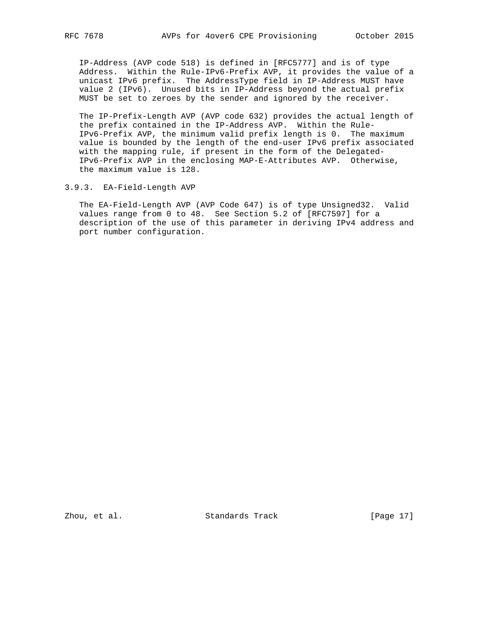IP-Address (AVP code 518) is defined in [RFC5777] and is of type Address. Within the Rule-IPv6-Prefix AVP, it provides the value of a unicast IPv6 prefix. The AddressType field in IP-Address MUST have value 2 (IPv6). Unused bits in IP-Address beyond the actual prefix MUST be set to zeroes by the sender and ignored by the receiver.

 The IP-Prefix-Length AVP (AVP code 632) provides the actual length of the prefix contained in the IP-Address AVP. Within the Rule- IPv6-Prefix AVP, the minimum valid prefix length is 0. The maximum value is bounded by the length of the end-user IPv6 prefix associated with the mapping rule, if present in the form of the Delegated- IPv6-Prefix AVP in the enclosing MAP-E-Attributes AVP. Otherwise, the maximum value is 128.

## 3.9.3. EA-Field-Length AVP

 The EA-Field-Length AVP (AVP Code 647) is of type Unsigned32. Valid values range from 0 to 48. See Section 5.2 of [RFC7597] for a description of the use of this parameter in deriving IPv4 address and port number configuration.

Zhou, et al. Standards Track [Page 17]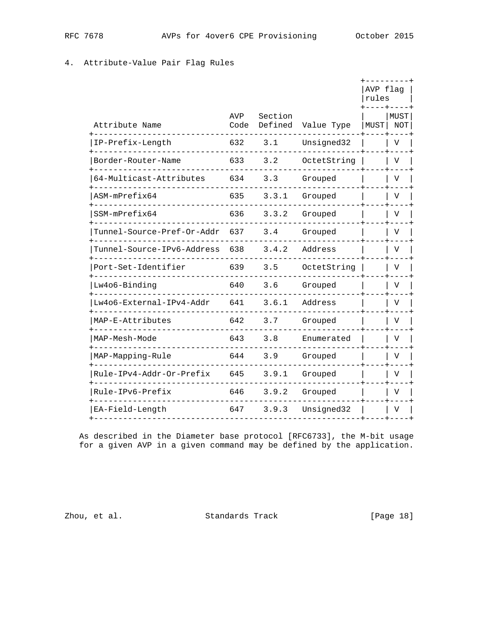## 4. Attribute-Value Pair Flag Rules

|                            |             |                    |               | AVP flag<br>rules |             |
|----------------------------|-------------|--------------------|---------------|-------------------|-------------|
| Attribute Name             | AVP<br>Code | Section<br>Defined | Value Type    | MUST              | MUST<br>NOT |
| IP-Prefix-Length           | 632         | 3.1                | Unsigned32    |                   | V           |
| Border-Router-Name         | 633         | 3.2                | OctetString   |                   | V           |
| 64-Multicast-Attributes    | 634         | 3.3                | Grouped       |                   | V           |
| ASM-mPrefix64              | 635         | 3.3.1              | Grouped       |                   | V           |
| SSM-mPrefix64              | 636         | 3.3.2              | Grouped       |                   | V           |
| Tunnel-Source-Pref-Or-Addr | 637         | 3.4                | Grouped       |                   |             |
| unnel-Source-IPv6-Address  | 638         | 3.4.2              | Address       |                   |             |
| Port-Set-Identifier        | 639         | 3.5                | OctetString   |                   |             |
| Lw4o6-Binding              | 640         | 3.6                | Grouped       |                   | V           |
| Lw4o6-External-IPv4-Addr   | 641         |                    | 3.6.1 Address |                   | V           |
| MAP-E-Attributes           | 642         | 3.7                | Grouped       |                   | V           |
| MAP-Mesh-Mode              | 643         | 3.8                | Enumerated    |                   | V           |
| MAP-Mapping-Rule           | 644         | 3.9                | Grouped       |                   | V           |
| Rule-IPv4-Addr-Or-Prefix   | 645         | 3.9.1              | Grouped       |                   | V           |
| Rule-IPv6-Prefix           | 646         | 3.9.2              | Grouped       |                   | V           |
| EA-Field-Length            | 647         | 3.9.3              | Unsigned32    |                   | V           |
|                            |             |                    |               |                   |             |

 As described in the Diameter base protocol [RFC6733], the M-bit usage for a given AVP in a given command may be defined by the application.

zhou, et al. Standards Track [Page 18]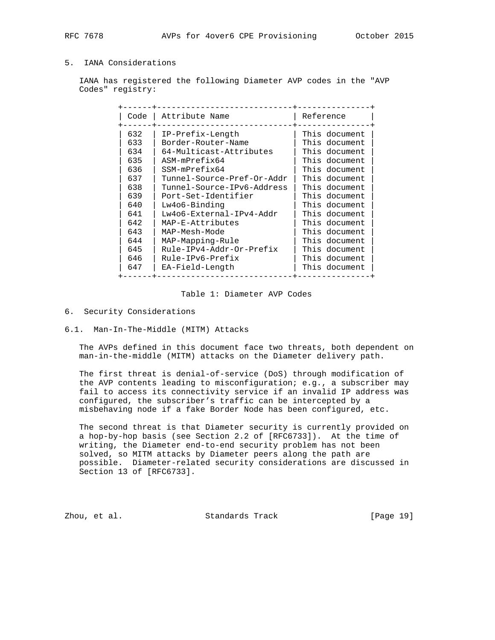## 5. IANA Considerations

 IANA has registered the following Diameter AVP codes in the "AVP Codes" registry:

| Code | Attribute Name             | Reference     |
|------|----------------------------|---------------|
| 632  | IP-Prefix-Length           | This document |
| 633  | Border-Router-Name         | This document |
| 634  | 64-Multicast-Attributes    | This document |
| 635  | ASM-mPrefix64              | This document |
| 636  | SSM-mPrefix64              | This document |
| 637  | Tunnel-Source-Pref-Or-Addr | This document |
| 638  | Tunnel-Source-IPv6-Address | This document |
| 639  | Port-Set-Identifier        | This document |
| 640  | Lw406-Binding              | This document |
| 641  | Lw4o6-External-IPv4-Addr   | This document |
| 642  | MAP-E-Attributes           | This document |
| 643  | MAP-Mesh-Mode              | This document |
| 644  | MAP-Mapping-Rule           | This document |
| 645  | Rule-IPv4-Addr-Or-Prefix   | This document |
| 646  | Rule-IPv6-Prefix           | This document |
| 647  | EA-Field-Length            | This document |

#### Table 1: Diameter AVP Codes

#### 6. Security Considerations

#### 6.1. Man-In-The-Middle (MITM) Attacks

 The AVPs defined in this document face two threats, both dependent on man-in-the-middle (MITM) attacks on the Diameter delivery path.

 The first threat is denial-of-service (DoS) through modification of the AVP contents leading to misconfiguration; e.g., a subscriber may fail to access its connectivity service if an invalid IP address was configured, the subscriber's traffic can be intercepted by a misbehaving node if a fake Border Node has been configured, etc.

 The second threat is that Diameter security is currently provided on a hop-by-hop basis (see Section 2.2 of [RFC6733]). At the time of writing, the Diameter end-to-end security problem has not been solved, so MITM attacks by Diameter peers along the path are possible. Diameter-related security considerations are discussed in Section 13 of [RFC6733].

Zhou, et al. Standards Track [Page 19]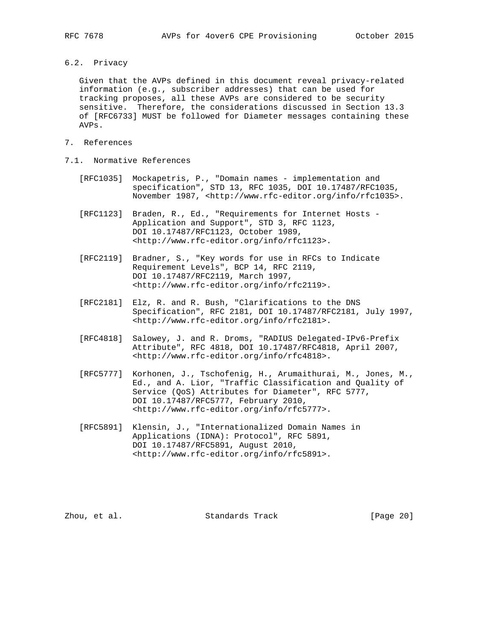6.2. Privacy

 Given that the AVPs defined in this document reveal privacy-related information (e.g., subscriber addresses) that can be used for tracking proposes, all these AVPs are considered to be security sensitive. Therefore, the considerations discussed in Section 13.3 of [RFC6733] MUST be followed for Diameter messages containing these AVPs.

- 7. References
- 7.1. Normative References
	- [RFC1035] Mockapetris, P., "Domain names implementation and specification", STD 13, RFC 1035, DOI 10.17487/RFC1035, November 1987, <http://www.rfc-editor.org/info/rfc1035>.
	- [RFC1123] Braden, R., Ed., "Requirements for Internet Hosts Application and Support", STD 3, RFC 1123, DOI 10.17487/RFC1123, October 1989, <http://www.rfc-editor.org/info/rfc1123>.
	- [RFC2119] Bradner, S., "Key words for use in RFCs to Indicate Requirement Levels", BCP 14, RFC 2119, DOI 10.17487/RFC2119, March 1997, <http://www.rfc-editor.org/info/rfc2119>.
	- [RFC2181] Elz, R. and R. Bush, "Clarifications to the DNS Specification", RFC 2181, DOI 10.17487/RFC2181, July 1997, <http://www.rfc-editor.org/info/rfc2181>.
	- [RFC4818] Salowey, J. and R. Droms, "RADIUS Delegated-IPv6-Prefix Attribute", RFC 4818, DOI 10.17487/RFC4818, April 2007, <http://www.rfc-editor.org/info/rfc4818>.
	- [RFC5777] Korhonen, J., Tschofenig, H., Arumaithurai, M., Jones, M., Ed., and A. Lior, "Traffic Classification and Quality of Service (QoS) Attributes for Diameter", RFC 5777, DOI 10.17487/RFC5777, February 2010, <http://www.rfc-editor.org/info/rfc5777>.
	- [RFC5891] Klensin, J., "Internationalized Domain Names in Applications (IDNA): Protocol", RFC 5891, DOI 10.17487/RFC5891, August 2010, <http://www.rfc-editor.org/info/rfc5891>.

Zhou, et al. Standards Track [Page 20]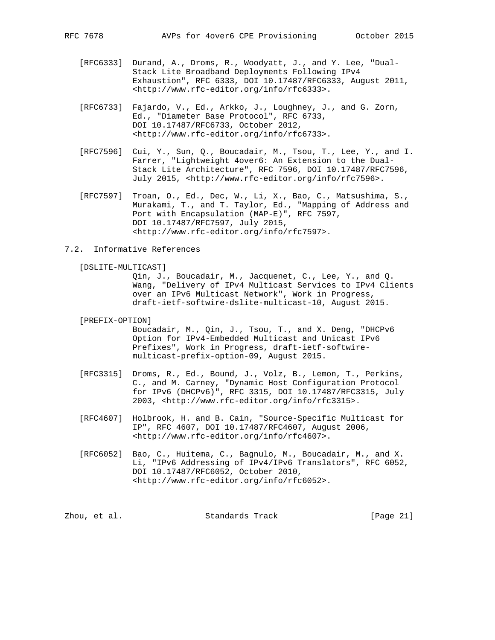- [RFC6333] Durand, A., Droms, R., Woodyatt, J., and Y. Lee, "Dual- Stack Lite Broadband Deployments Following IPv4 Exhaustion", RFC 6333, DOI 10.17487/RFC6333, August 2011, <http://www.rfc-editor.org/info/rfc6333>.
- [RFC6733] Fajardo, V., Ed., Arkko, J., Loughney, J., and G. Zorn, Ed., "Diameter Base Protocol", RFC 6733, DOI 10.17487/RFC6733, October 2012, <http://www.rfc-editor.org/info/rfc6733>.
- [RFC7596] Cui, Y., Sun, Q., Boucadair, M., Tsou, T., Lee, Y., and I. Farrer, "Lightweight 4over6: An Extension to the Dual- Stack Lite Architecture", RFC 7596, DOI 10.17487/RFC7596, July 2015, <http://www.rfc-editor.org/info/rfc7596>.
- [RFC7597] Troan, O., Ed., Dec, W., Li, X., Bao, C., Matsushima, S., Murakami, T., and T. Taylor, Ed., "Mapping of Address and Port with Encapsulation (MAP-E)", RFC 7597, DOI 10.17487/RFC7597, July 2015, <http://www.rfc-editor.org/info/rfc7597>.
- 7.2. Informative References

[DSLITE-MULTICAST]

 Qin, J., Boucadair, M., Jacquenet, C., Lee, Y., and Q. Wang, "Delivery of IPv4 Multicast Services to IPv4 Clients over an IPv6 Multicast Network", Work in Progress, draft-ietf-softwire-dslite-multicast-10, August 2015.

[PREFIX-OPTION]

 Boucadair, M., Qin, J., Tsou, T., and X. Deng, "DHCPv6 Option for IPv4-Embedded Multicast and Unicast IPv6 Prefixes", Work in Progress, draft-ietf-softwire multicast-prefix-option-09, August 2015.

- [RFC3315] Droms, R., Ed., Bound, J., Volz, B., Lemon, T., Perkins, C., and M. Carney, "Dynamic Host Configuration Protocol for IPv6 (DHCPv6)", RFC 3315, DOI 10.17487/RFC3315, July 2003, <http://www.rfc-editor.org/info/rfc3315>.
	- [RFC4607] Holbrook, H. and B. Cain, "Source-Specific Multicast for IP", RFC 4607, DOI 10.17487/RFC4607, August 2006, <http://www.rfc-editor.org/info/rfc4607>.
	- [RFC6052] Bao, C., Huitema, C., Bagnulo, M., Boucadair, M., and X. Li, "IPv6 Addressing of IPv4/IPv6 Translators", RFC 6052, DOI 10.17487/RFC6052, October 2010, <http://www.rfc-editor.org/info/rfc6052>.

Zhou, et al. Standards Track [Page 21]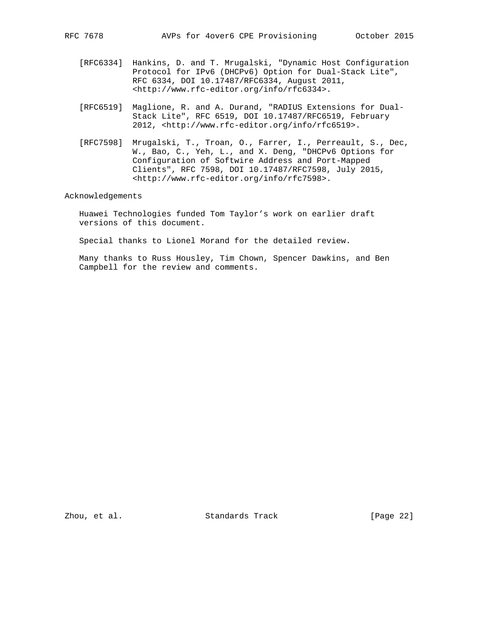- [RFC6334] Hankins, D. and T. Mrugalski, "Dynamic Host Configuration Protocol for IPv6 (DHCPv6) Option for Dual-Stack Lite", RFC 6334, DOI 10.17487/RFC6334, August 2011, <http://www.rfc-editor.org/info/rfc6334>.
- [RFC6519] Maglione, R. and A. Durand, "RADIUS Extensions for Dual- Stack Lite", RFC 6519, DOI 10.17487/RFC6519, February 2012, <http://www.rfc-editor.org/info/rfc6519>.
- [RFC7598] Mrugalski, T., Troan, O., Farrer, I., Perreault, S., Dec, W., Bao, C., Yeh, L., and X. Deng, "DHCPv6 Options for Configuration of Softwire Address and Port-Mapped Clients", RFC 7598, DOI 10.17487/RFC7598, July 2015, <http://www.rfc-editor.org/info/rfc7598>.

### Acknowledgements

 Huawei Technologies funded Tom Taylor's work on earlier draft versions of this document.

Special thanks to Lionel Morand for the detailed review.

 Many thanks to Russ Housley, Tim Chown, Spencer Dawkins, and Ben Campbell for the review and comments.

Zhou, et al. Standards Track [Page 22]